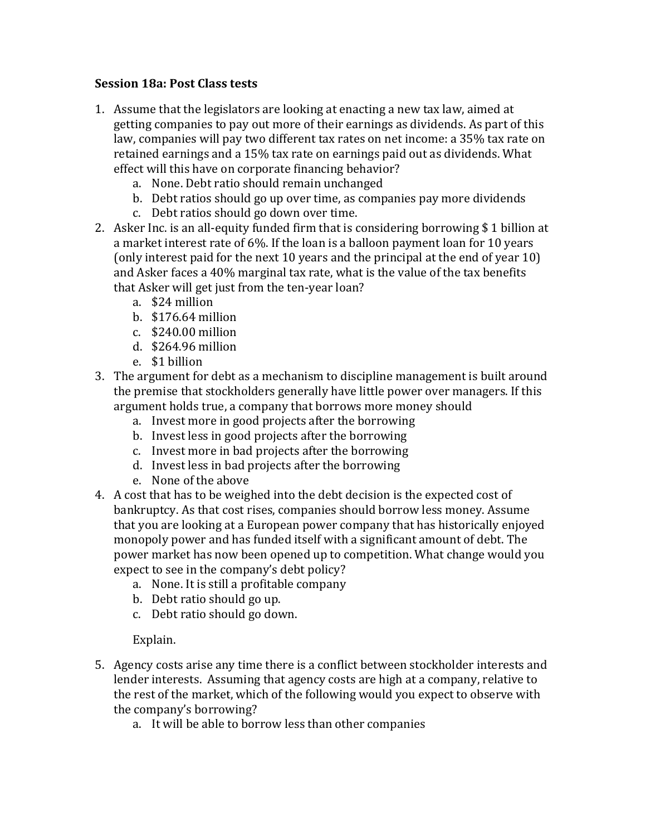## **Session 18a: Post Class tests**

- 1. Assume that the legislators are looking at enacting a new tax law, aimed at getting companies to pay out more of their earnings as dividends. As part of this law, companies will pay two different tax rates on net income: a 35% tax rate on retained earnings and a 15% tax rate on earnings paid out as dividends. What effect will this have on corporate financing behavior?
	- a. None. Debt ratio should remain unchanged
	- b. Debt ratios should go up over time, as companies pay more dividends
	- c. Debt ratios should go down over time.
- 2. Asker Inc. is an all-equity funded firm that is considering borrowing  $$1$  billion at a market interest rate of 6%. If the loan is a balloon payment loan for 10 years (only interest paid for the next 10 years and the principal at the end of year 10) and Asker faces a 40% marginal tax rate, what is the value of the tax benefits that Asker will get just from the ten-year loan?
	- a. \$24 million
	- b. \$176.64 million
	- c. \$240.00 million
	- d. \$264.96 million
	- e. \$1 billion
- 3. The argument for debt as a mechanism to discipline management is built around the premise that stockholders generally have little power over managers. If this argument holds true, a company that borrows more money should
	- a. Invest more in good projects after the borrowing
	- b. Invest less in good projects after the borrowing
	- c. Invest more in bad projects after the borrowing
	- d. Invest less in bad projects after the borrowing
	- e. None of the above
- 4. A cost that has to be weighed into the debt decision is the expected cost of bankruptcy. As that cost rises, companies should borrow less money. Assume that you are looking at a European power company that has historically enjoyed monopoly power and has funded itself with a significant amount of debt. The power market has now been opened up to competition. What change would you expect to see in the company's debt policy?
	- a. None. It is still a profitable company
	- b. Debt ratio should go up.
	- c. Debt ratio should go down.

Explain.

- 5. Agency costs arise any time there is a conflict between stockholder interests and lender interests. Assuming that agency costs are high at a company, relative to the rest of the market, which of the following would you expect to observe with the company's borrowing?
	- a. It will be able to borrow less than other companies